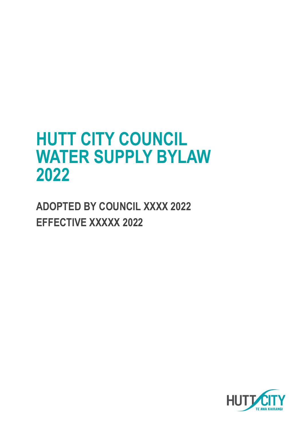# **HUTT CITY COUNCIL WATER SUPPLY BYLAW 2022**

**ADOPTED BY COUNCIL XXXX 2022 EFFECTIVE XXXXX 2022**

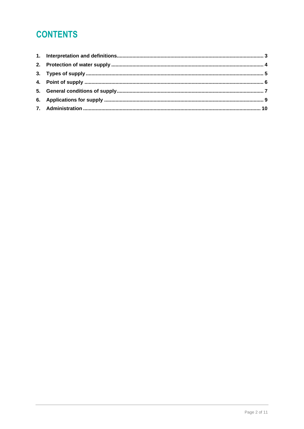# **CONTENTS**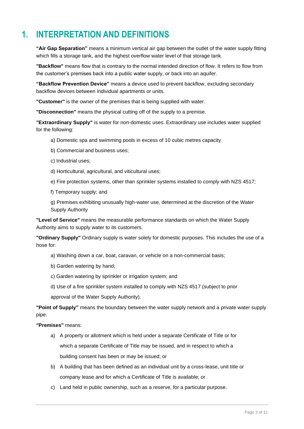# <span id="page-2-0"></span>**1. INTERPRETATION AND DEFINITIONS**

**"Air Gap Separation"** means a minimum vertical air gap between the outlet of the water supply fitting which fills a storage tank, and the highest overflow water level of that storage tank.

**"Backflow"** means flow that is contrary to the normal intended direction of flow. It refers to flow from the customer's premises back into a public water supply, or back into an aquifer.

**"Backflow Prevention Device"** means a device used to prevent backflow, excluding secondary backflow devices between individual apartments or units.

**"Customer"** is the owner of the premises that is being supplied with water.

**"Disconnection"** means the physical cutting off of the supply to a premise.

**"Extraordinary Supply"** is water for non-domestic uses. Extraordinary use includes water supplied for the following:

- a) Domestic spa and swimming pools in excess of 10 cubic metres capacity
- b) Commercial and business uses;
- c) Industrial uses;
- d) Horticultural, agricultural, and viticultural uses;
- e) Fire protection systems, other than sprinkler systems installed to comply with NZS 4517;
- f) Temporary supply; and

g) Premises exhibiting unusually high-water use, determined at the discretion of the Water Supply Authority

**"Level of Service"** means the measurable performance standards on which the Water Supply Authority aims to supply water to its customers.

**"Ordinary Supply"** Ordinary supply is water solely for domestic purposes. This includes the use of a hose for:

- a) Washing down a car, boat, caravan, or vehicle on a non-commercial basis;
- b) Garden watering by hand;
- c) Garden watering by sprinkler or irrigation system; and
- d) Use of a fire sprinkler system installed to comply with NZS 4517 (subject to prior

approval of the Water Supply Authority).

**"Point of Supply"** means the boundary between the water supply network and a private water supply pipe.

**"Premises"** means:

- a) A property or allotment which is held under a separate Certificate of Title or for which a separate Certificate of Title may be issued, and in respect to which a building consent has been or may be issued; or
- b) A building that has been defined as an individual unit by a cross-lease, unit title or company lease and for which a Certificate of Title is available; or
- c) Land held in public ownership, such as a reserve, for a particular purpose.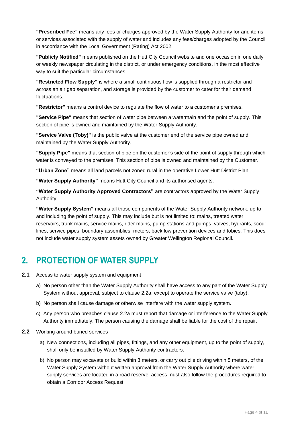**"Prescribed Fee"** means any fees or charges approved by the Water Supply Authority for and items or services associated with the supply of water and includes any fees/charges adopted by the Council in accordance with the Local Government (Rating) Act 2002.

**"Publicly Notified"** means published on the Hutt City Council website and one occasion in one daily or weekly newspaper circulating in the district, or under emergency conditions, in the most effective way to suit the particular circumstances.

**"Restricted Flow Supply"** is where a small continuous flow is supplied through a restrictor and across an air gap separation, and storage is provided by the customer to cater for their demand fluctuations.

**"Restrictor"** means a control device to regulate the flow of water to a customer's premises.

**"Service Pipe"** means that section of water pipe between a watermain and the point of supply. This section of pipe is owned and maintained by the Water Supply Authority.

**"Service Valve (Toby)"** is the public valve at the customer end of the service pipe owned and maintained by the Water Supply Authority.

**"Supply Pipe"** means that section of pipe on the customer's side of the point of supply through which water is conveyed to the premises. This section of pipe is owned and maintained by the Customer.

**"Urban Zone"** means all land parcels not zoned rural in the operative Lower Hutt District Plan.

**"Water Supply Authority"** means Hutt City Council and its authorised agents.

**"Water Supply Authority Approved Contractors"** are contractors approved by the Water Supply Authority.

**"Water Supply System"** means all those components of the Water Supply Authority network, up to and including the point of supply. This may include but is not limited to: mains, treated water reservoirs, trunk mains, service mains, rider mains, pump stations and pumps, valves, hydrants, scour lines, service pipes, boundary assemblies, meters, backflow prevention devices and tobies. This does not include water supply system assets owned by Greater Wellington Regional Council.

### <span id="page-3-0"></span>**2. PROTECTION OF WATER SUPPLY**

- **2.1** Access to water supply system and equipment
	- a) No person other than the Water Supply Authority shall have access to any part of the Water Supply System without approval, subject to clause 2.2a, except to operate the service valve (toby).
	- b) No person shall cause damage or otherwise interfere with the water supply system.
	- c) Any person who breaches clause 2.2a must report that damage or interference to the Water Supply Authority immediately. The person causing the damage shall be liable for the cost of the repair.
- **2.2** Working around buried services
	- a) New connections, including all pipes, fittings, and any other equipment, up to the point of supply, shall only be installed by Water Supply Authority contractors.
	- b) No person may excavate or build within 3 meters, or carry out pile driving within 5 meters, of the Water Supply System without written approval from the Water Supply Authority where water supply services are located in a road reserve, access must also follow the procedures required to obtain a Corridor Access Request.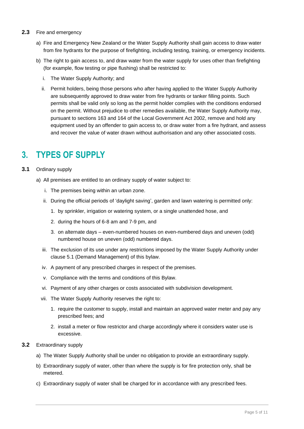- **2.3** Fire and emergency
	- a) Fire and Emergency New Zealand or the Water Supply Authority shall gain access to draw water from fire hydrants for the purpose of firefighting, including testing, training, or emergency incidents.
	- b) The right to gain access to, and draw water from the water supply for uses other than firefighting (for example, flow testing or pipe flushing) shall be restricted to:
		- i. The Water Supply Authority; and
		- ii. Permit holders, being those persons who after having applied to the Water Supply Authority are subsequently approved to draw water from fire hydrants or tanker filling points. Such permits shall be valid only so long as the permit holder complies with the conditions endorsed on the permit. Without prejudice to other remedies available, the Water Supply Authority may, pursuant to sections 163 and 164 of the Local Government Act 2002, remove and hold any equipment used by an offender to gain access to, or draw water from a fire hydrant, and assess and recover the value of water drawn without authorisation and any other associated costs.

### <span id="page-4-0"></span>**3. TYPES OF SUPPLY**

- **3.1** Ordinary supply
	- a) All premises are entitled to an ordinary supply of water subject to:
		- i. The premises being within an urban zone.
		- ii. During the official periods of 'daylight saving', garden and lawn watering is permitted only:
			- 1. by sprinkler, irrigation or watering system, or a single unattended hose, and
			- 2. during the hours of 6-8 am and 7-9 pm, and
			- 3. on alternate days even-numbered houses on even-numbered days and uneven (odd) numbered house on uneven (odd) numbered days.
		- iii. The exclusion of its use under any restrictions imposed by the Water Supply Authority under clause 5.1 (Demand Management) of this bylaw.
		- iv. A payment of any prescribed charges in respect of the premises.
		- v. Compliance with the terms and conditions of this Bylaw.
		- vi. Payment of any other charges or costs associated with subdivision development.
		- vii. The Water Supply Authority reserves the right to:
			- 1. require the customer to supply, install and maintain an approved water meter and pay any prescribed fees; and
			- 2. install a meter or flow restrictor and charge accordingly where it considers water use is excessive.
- **3.2** Extraordinary supply
	- a) The Water Supply Authority shall be under no obligation to provide an extraordinary supply.
	- b) Extraordinary supply of water, other than where the supply is for fire protection only, shall be metered.
	- c) Extraordinary supply of water shall be charged for in accordance with any prescribed fees.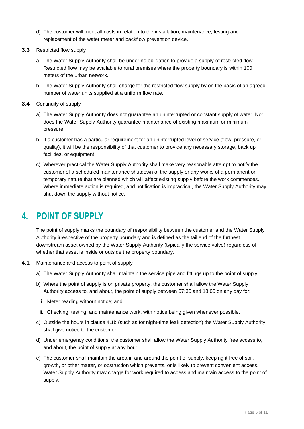- d) The customer will meet all costs in relation to the installation, maintenance, testing and replacement of the water meter and backflow prevention device.
- **3.3** Restricted flow supply
	- a) The Water Supply Authority shall be under no obligation to provide a supply of restricted flow. Restricted flow may be available to rural premises where the property boundary is within 100 meters of the urban network.
	- b) The Water Supply Authority shall charge for the restricted flow supply by on the basis of an agreed number of water units supplied at a uniform flow rate.
- **3.4** Continuity of supply
	- a) The Water Supply Authority does not guarantee an uninterrupted or constant supply of water. Nor does the Water Supply Authority guarantee maintenance of existing maximum or minimum pressure.
	- b) If a customer has a particular requirement for an uninterrupted level of service (flow, pressure, or quality), it will be the responsibility of that customer to provide any necessary storage, back up facilities, or equipment.
	- c) Wherever practical the Water Supply Authority shall make very reasonable attempt to notify the customer of a scheduled maintenance shutdown of the supply or any works of a permanent or temporary nature that are planned which will affect existing supply before the work commences. Where immediate action is required, and notification is impractical, the Water Supply Authority may shut down the supply without notice.

## <span id="page-5-0"></span>**4. POINT OF SUPPLY**

The point of supply marks the boundary of responsibility between the customer and the Water Supply Authority irrespective of the property boundary and is defined as the tail end of the furthest downstream asset owned by the Water Supply Authority (typically the service valve) regardless of whether that asset is inside or outside the property boundary.

- **4.1** Maintenance and access to point of supply
	- a) The Water Supply Authority shall maintain the service pipe and fittings up to the point of supply.
	- b) Where the point of supply is on private property, the customer shall allow the Water Supply Authority access to, and about, the point of supply between 07:30 and 18:00 on any day for:
		- i. Meter reading without notice; and
	- ii. Checking, testing, and maintenance work, with notice being given whenever possible.
	- c) Outside the hours in clause 4.1b (such as for night-time leak detection) the Water Supply Authority shall give notice to the customer.
	- d) Under emergency conditions, the customer shall allow the Water Supply Authority free access to, and about, the point of supply at any hour.
	- e) The customer shall maintain the area in and around the point of supply, keeping it free of soil, growth, or other matter, or obstruction which prevents, or is likely to prevent convenient access. Water Supply Authority may charge for work required to access and maintain access to the point of supply.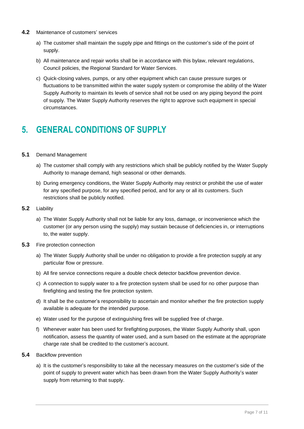- **4.2** Maintenance of customers' services
	- a) The customer shall maintain the supply pipe and fittings on the customer's side of the point of supply.
	- b) All maintenance and repair works shall be in accordance with this bylaw, relevant regulations, Council policies, the Regional Standard for Water Services.
	- c) Quick-closing valves, pumps, or any other equipment which can cause pressure surges or fluctuations to be transmitted within the water supply system or compromise the ability of the Water Supply Authority to maintain its levels of service shall not be used on any piping beyond the point of supply. The Water Supply Authority reserves the right to approve such equipment in special circumstances.

## <span id="page-6-0"></span>**5. GENERAL CONDITIONS OF SUPPLY**

#### **5.1** Demand Management

- a) The customer shall comply with any restrictions which shall be publicly notified by the Water Supply Authority to manage demand, high seasonal or other demands.
- b) During emergency conditions, the Water Supply Authority may restrict or prohibit the use of water for any specified purpose, for any specified period, and for any or all its customers. Such restrictions shall be publicly notified.
- **5.2** Liability
	- a) The Water Supply Authority shall not be liable for any loss, damage, or inconvenience which the customer (or any person using the supply) may sustain because of deficiencies in, or interruptions to, the water supply.
- **5.3** Fire protection connection
	- a) The Water Supply Authority shall be under no obligation to provide a fire protection supply at any particular flow or pressure.
	- b) All fire service connections require a double check detector backflow prevention device.
	- c) A connection to supply water to a fire protection system shall be used for no other purpose than firefighting and testing the fire protection system.
	- d) It shall be the customer's responsibility to ascertain and monitor whether the fire protection supply available is adequate for the intended purpose.
	- e) Water used for the purpose of extinguishing fires will be supplied free of charge.
	- f) Whenever water has been used for firefighting purposes, the Water Supply Authority shall, upon notification, assess the quantity of water used, and a sum based on the estimate at the appropriate charge rate shall be credited to the customer's account.
- **5.4** Backflow prevention
	- a) It is the customer's responsibility to take all the necessary measures on the customer's side of the point of supply to prevent water which has been drawn from the Water Supply Authority's water supply from returning to that supply.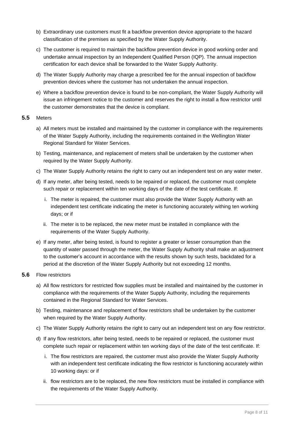- b) Extraordinary use customers must fit a backflow prevention device appropriate to the hazard classification of the premises as specified by the Water Supply Authority.
- c) The customer is required to maintain the backflow prevention device in good working order and undertake annual inspection by an Independent Qualified Person (IQP). The annual inspection certification for each device shall be forwarded to the Water Supply Authority.
- d) The Water Supply Authority may charge a prescribed fee for the annual inspection of backflow prevention devices where the customer has not undertaken the annual inspection.
- e) Where a backflow prevention device is found to be non-compliant, the Water Supply Authority will issue an infringement notice to the customer and reserves the right to install a flow restrictor until the customer demonstrates that the device is compliant.

#### **5.5** Meters

- a) All meters must be installed and maintained by the customer in compliance with the requirements of the Water Supply Authority, including the requirements contained in the Wellington Water Regional Standard for Water Services.
- b) Testing, maintenance, and replacement of meters shall be undertaken by the customer when required by the Water Supply Authority.
- c) The Water Supply Authority retains the right to carry out an independent test on any water meter.
- d) If any meter, after being tested, needs to be repaired or replaced, the customer must complete such repair or replacement within ten working days of the date of the test certificate. If:
	- i. The meter is repaired, the customer must also provide the Water Supply Authority with an independent test certificate indicating the meter is functioning accurately withing ten working days; or if
	- ii. The meter is to be replaced, the new meter must be installed in compliance with the requirements of the Water Supply Authority.
- e) If any meter, after being tested, is found to register a greater or lesser consumption than the quantity of water passed through the meter, the Water Supply Authority shall make an adjustment to the customer's account in accordance with the results shown by such tests, backdated for a period at the discretion of the Water Supply Authority but not exceeding 12 months.

#### **5.6** Flow restrictors

- a) All flow restrictors for restricted flow supplies must be installed and maintained by the customer in compliance with the requirements of the Water Supply Authority, including the requirements contained in the Regional Standard for Water Services.
- b) Testing, maintenance and replacement of flow restrictors shall be undertaken by the customer when required by the Water Supply Authority.
- c) The Water Supply Authority retains the right to carry out an independent test on any flow restrictor.
- d) If any flow restrictors, after being tested, needs to be repaired or replaced, the customer must complete such repair or replacement within ten working days of the date of the test certificate. If:
	- i. The flow restrictors are repaired, the customer must also provide the Water Supply Authority with an independent test certificate indicating the flow restrictor is functioning accurately within 10 working days: or if
	- ii. flow restrictors are to be replaced, the new flow restrictors must be installed in compliance with the requirements of the Water Supply Authority.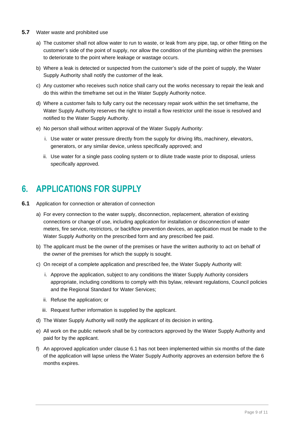- **5.7** Water waste and prohibited use
	- a) The customer shall not allow water to run to waste, or leak from any pipe, tap, or other fitting on the customer's side of the point of supply, nor allow the condition of the plumbing within the premises to deteriorate to the point where leakage or wastage occurs.
	- b) Where a leak is detected or suspected from the customer's side of the point of supply, the Water Supply Authority shall notify the customer of the leak.
	- c) Any customer who receives such notice shall carry out the works necessary to repair the leak and do this within the timeframe set out in the Water Supply Authority notice.
	- d) Where a customer fails to fully carry out the necessary repair work within the set timeframe, the Water Supply Authority reserves the right to install a flow restrictor until the issue is resolved and notified to the Water Supply Authority.
	- e) No person shall without written approval of the Water Supply Authority:
		- i. Use water or water pressure directly from the supply for driving lifts, machinery, elevators, generators, or any similar device, unless specifically approved; and
		- ii. Use water for a single pass cooling system or to dilute trade waste prior to disposal, unless specifically approved.

### <span id="page-8-0"></span>**6. APPLICATIONS FOR SUPPLY**

- **6.1** Application for connection or alteration of connection
	- a) For every connection to the water supply, disconnection, replacement, alteration of existing connections or change of use, including application for installation or disconnection of water meters, fire service, restrictors, or backflow prevention devices, an application must be made to the Water Supply Authority on the prescribed form and any prescribed fee paid.
	- b) The applicant must be the owner of the premises or have the written authority to act on behalf of the owner of the premises for which the supply is sought.
	- c) On receipt of a complete application and prescribed fee, the Water Supply Authority will:
		- i. Approve the application, subject to any conditions the Water Supply Authority considers appropriate, including conditions to comply with this bylaw, relevant regulations, Council policies and the Regional Standard for Water Services;
		- ii. Refuse the application; or
		- iii. Request further information is supplied by the applicant.
	- d) The Water Supply Authority will notify the applicant of its decision in writing.
	- e) All work on the public network shall be by contractors approved by the Water Supply Authority and paid for by the applicant.
	- f) An approved application under clause 6.1 has not been implemented within six months of the date of the application will lapse unless the Water Supply Authority approves an extension before the 6 months expires.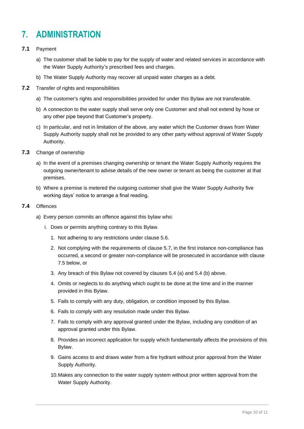# <span id="page-9-0"></span>**7. ADMINISTRATION**

- **7.1** Payment
	- a) The customer shall be liable to pay for the supply of water and related services in accordance with the Water Supply Authority's prescribed fees and charges.
	- b) The Water Supply Authority may recover all unpaid water charges as a debt.
- **7.2** Transfer of rights and responsibilities
	- a) The customer's rights and responsibilities provided for under this Bylaw are not transferable.
	- b) A connection to the water supply shall serve only one Customer and shall not extend by hose or any other pipe beyond that Customer's property.
	- c) In particular, and not in limitation of the above, any water which the Customer draws from Water Supply Authority supply shall not be provided to any other party without approval of Water Supply Authority.
- **7.3** Change of ownership
	- a) In the event of a premises changing ownership or tenant the Water Supply Authority requires the outgoing owner/tenant to advise details of the new owner or tenant as being the customer at that premises.
	- b) Where a premise is metered the outgoing customer shall give the Water Supply Authority five working days' notice to arrange a final reading.
- **7.4** Offences
	- a) Every person commits an offence against this bylaw who:
		- i. Does or permits anything contrary to this Bylaw.
			- 1. Not adhering to any restrictions under clause 5.6.
			- 2. Not complying with the requirements of clause 5.7, in the first instance non-compliance has occurred, a second or greater non-compliance will be prosecuted in accordance with clause 7.5 below, or
			- 3. Any breach of this Bylaw not covered by clauses 5.4 (a) and 5.4 (b) above.
			- 4. Omits or neglects to do anything which ought to be done at the time and in the manner provided in this Bylaw.
			- 5. Fails to comply with any duty, obligation, or condition imposed by this Bylaw.
			- 6. Fails to comply with any resolution made under this Bylaw.
			- 7. Fails to comply with any approval granted under the Bylaw, including any condition of an approval granted under this Bylaw.
			- 8. Provides an incorrect application for supply which fundamentally affects the provisions of this Bylaw.
			- 9. Gains access to and draws water from a fire hydrant without prior approval from the Water Supply Authority.
			- 10.Makes any connection to the water supply system without prior written approval from the Water Supply Authority.